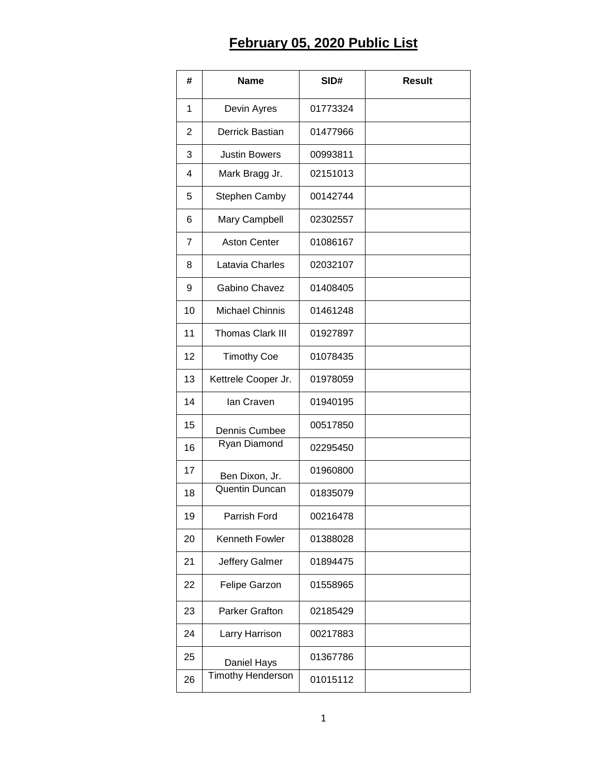## **February 05, 2020 Public List**

| #              | <b>Name</b>              | SID#     | <b>Result</b> |
|----------------|--------------------------|----------|---------------|
| 1              | Devin Ayres              | 01773324 |               |
| 2              | Derrick Bastian          | 01477966 |               |
| 3              | <b>Justin Bowers</b>     | 00993811 |               |
| 4              | Mark Bragg Jr.           | 02151013 |               |
| 5              | <b>Stephen Camby</b>     | 00142744 |               |
| 6              | Mary Campbell            | 02302557 |               |
| $\overline{7}$ | <b>Aston Center</b>      | 01086167 |               |
| 8              | Latavia Charles          | 02032107 |               |
| 9              | Gabino Chavez            | 01408405 |               |
| 10             | <b>Michael Chinnis</b>   | 01461248 |               |
| 11             | <b>Thomas Clark III</b>  | 01927897 |               |
| 12             | <b>Timothy Coe</b>       | 01078435 |               |
| 13             | Kettrele Cooper Jr.      | 01978059 |               |
| 14             | lan Craven               | 01940195 |               |
| 15             | Dennis Cumbee            | 00517850 |               |
| 16             | Ryan Diamond             | 02295450 |               |
| 17             | Ben Dixon, Jr.           | 01960800 |               |
| 18             | Quentin Duncan           | 01835079 |               |
| 19             | Parrish Ford             | 00216478 |               |
| 20             | Kenneth Fowler           | 01388028 |               |
| 21             | Jeffery Galmer           | 01894475 |               |
| 22             | Felipe Garzon            | 01558965 |               |
| 23             | <b>Parker Grafton</b>    | 02185429 |               |
| 24             | Larry Harrison           | 00217883 |               |
| 25             | Daniel Hays              | 01367786 |               |
| 26             | <b>Timothy Henderson</b> | 01015112 |               |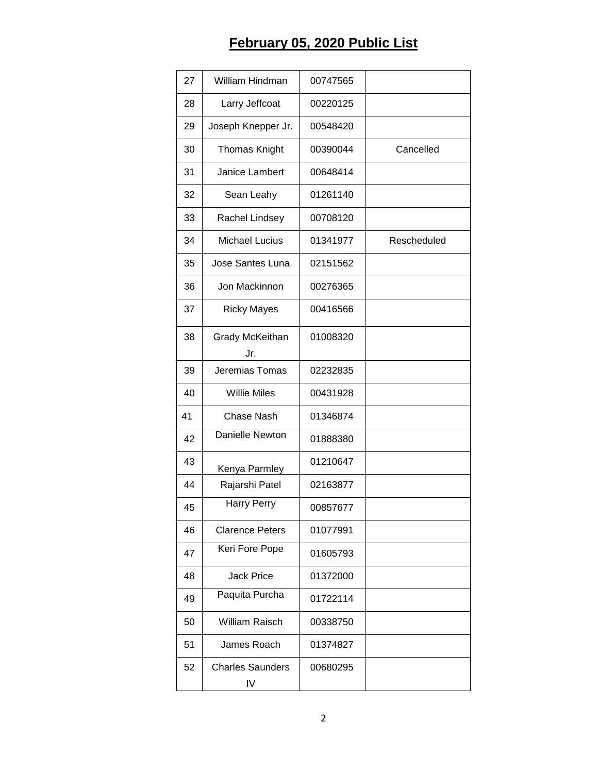## **February 05, 2020 Public List**

| 27 | William Hindman               | 00747565 |             |
|----|-------------------------------|----------|-------------|
| 28 | Larry Jeffcoat                | 00220125 |             |
| 29 | Joseph Knepper Jr.            | 00548420 |             |
| 30 | <b>Thomas Knight</b>          | 00390044 | Cancelled   |
| 31 | Janice Lambert                | 00648414 |             |
| 32 | Sean Leahy                    | 01261140 |             |
| 33 | Rachel Lindsey                | 00708120 |             |
| 34 | <b>Michael Lucius</b>         | 01341977 | Rescheduled |
| 35 | Jose Santes Luna              | 02151562 |             |
| 36 | Jon Mackinnon                 | 00276365 |             |
| 37 | <b>Ricky Mayes</b>            | 00416566 |             |
| 38 | Grady McKeithan<br>Jr.        | 01008320 |             |
| 39 | Jeremias Tomas                | 02232835 |             |
| 40 | <b>Willie Miles</b>           | 00431928 |             |
| 41 | <b>Chase Nash</b>             | 01346874 |             |
| 42 | Danielle Newton               | 01888380 |             |
| 43 | Kenya Parmley                 | 01210647 |             |
| 44 | Rajarshi Patel                | 02163877 |             |
| 45 | <b>Harry Perry</b>            | 00857677 |             |
| 46 | <b>Clarence Peters</b>        | 01077991 |             |
| 47 | <b>Keri Fore Pope</b>         | 01605793 |             |
| 48 | <b>Jack Price</b>             | 01372000 |             |
| 49 | Paquita Purcha                | 01722114 |             |
| 50 | William Raisch                | 00338750 |             |
| 51 | James Roach                   | 01374827 |             |
| 52 | <b>Charles Saunders</b><br>IV | 00680295 |             |